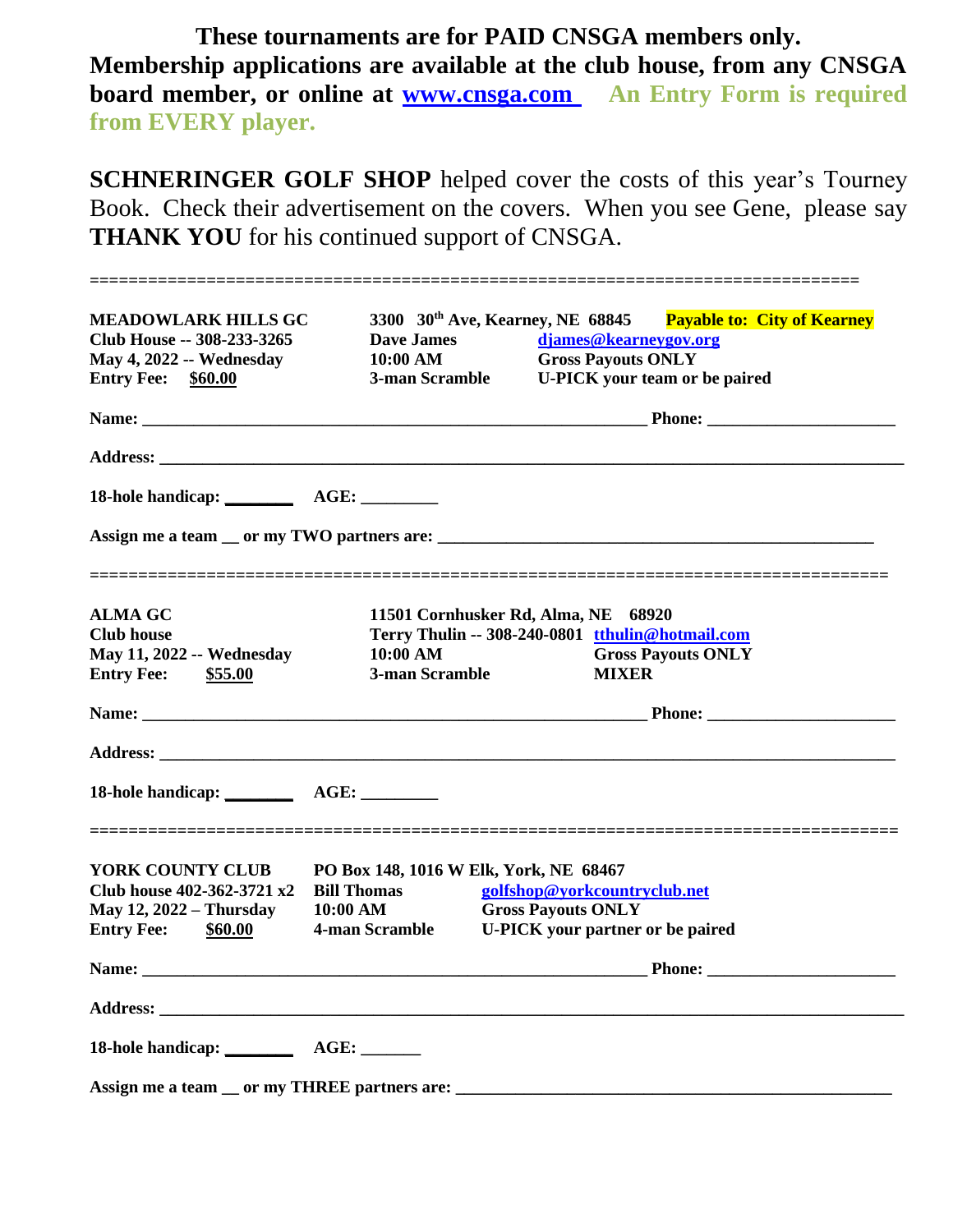**These tournaments are for PAID CNSGA members only. Membership applications are available at the club house, from any CNSGA board member, or online at [www.cnsga.com](http://www.cnsga.com/) An Entry Form is required from EVERY player.** 

**SCHNERINGER GOLF SHOP** helped cover the costs of this year's Tourney Book. Check their advertisement on the covers. When you see Gene, please say **THANK YOU** for his continued support of CNSGA.

| <b>MEADOWLARK HILLS GC</b>      |                                                    | 3300 30 <sup>th</sup> Ave, Kearney, NE 68845 Payable to: City of Kearney |  |
|---------------------------------|----------------------------------------------------|--------------------------------------------------------------------------|--|
| Club House -- 308-233-3265      | <b>Dave James</b>                                  | djames@kearneygov.org                                                    |  |
| <b>May 4, 2022 -- Wednesday</b> | 10:00 AM                                           | <b>Gross Payouts ONLY</b>                                                |  |
| <b>Entry Fee: \$60.00</b>       |                                                    | 3-man Scramble U-PICK your team or be paired                             |  |
|                                 |                                                    |                                                                          |  |
|                                 |                                                    |                                                                          |  |
|                                 |                                                    |                                                                          |  |
|                                 |                                                    |                                                                          |  |
|                                 |                                                    |                                                                          |  |
| <b>ALMA GC</b>                  |                                                    | 11501 Cornhusker Rd, Alma, NE 68920                                      |  |
| <b>Club house</b>               |                                                    | Terry Thulin -- 308-240-0801 tthulin@hotmail.com                         |  |
| May 11, 2022 -- Wednesday       | $10:00$ AM                                         | <b>Gross Payouts ONLY</b>                                                |  |
| <b>Entry Fee:</b> \$55.00       | 3-man Scramble                                     | <b>MIXER</b>                                                             |  |
|                                 |                                                    |                                                                          |  |
|                                 |                                                    |                                                                          |  |
|                                 |                                                    |                                                                          |  |
| YORK COUNTY CLUB                |                                                    | PO Box 148, 1016 W Elk, York, NE 68467                                   |  |
| Club house 402-362-3721 x2      | <b>Bill Thomas</b><br>golfshop@yorkcountryclub.net |                                                                          |  |
| <b>May 12, 2022 - Thursday</b>  | 10:00 AM                                           | <b>Gross Payouts ONLY</b>                                                |  |
| <b>Entry Fee:</b><br>\$60.00    | <b>4-man Scramble</b>                              | <b>U-PICK</b> your partner or be paired                                  |  |
| Name:                           |                                                    | Phone:                                                                   |  |
|                                 |                                                    |                                                                          |  |
|                                 |                                                    |                                                                          |  |
|                                 |                                                    |                                                                          |  |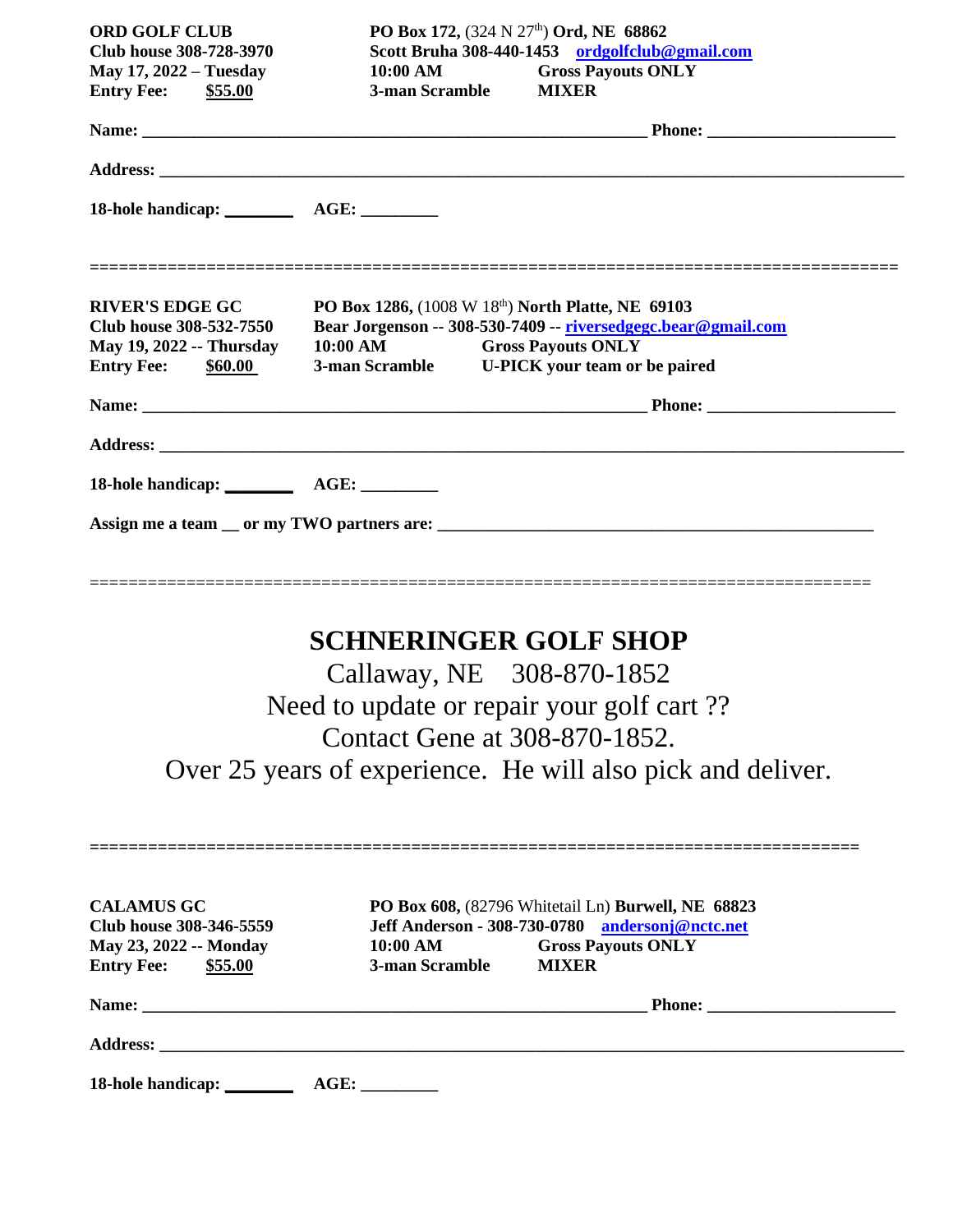| <b>ORD GOLF CLUB</b>                                                                                       | PO Box 172, (324 N 27 <sup>th</sup> ) Ord, NE 68862                                                                                                                                               |  |  |
|------------------------------------------------------------------------------------------------------------|---------------------------------------------------------------------------------------------------------------------------------------------------------------------------------------------------|--|--|
| Scott Bruha 308-440-1453 ordgolfclub@gmail.com<br>Club house 308-728-3970                                  |                                                                                                                                                                                                   |  |  |
| <b>May 17, 2022 – Tuesday</b>                                                                              | 10:00 AM<br><b>Gross Payouts ONLY</b>                                                                                                                                                             |  |  |
| <b>Entry Fee:</b> \$55.00                                                                                  | 3-man Scramble<br><b>MIXER</b>                                                                                                                                                                    |  |  |
|                                                                                                            |                                                                                                                                                                                                   |  |  |
|                                                                                                            |                                                                                                                                                                                                   |  |  |
|                                                                                                            |                                                                                                                                                                                                   |  |  |
| <b>RIVER'S EDGE GC</b><br>Club house 308-532-7550<br>May 19, 2022 -- Thursday<br><b>Entry Fee: \$60.00</b> | PO Box 1286, (1008 W 18th) North Platte, NE 69103<br>Bear Jorgenson -- 308-530-7409 -- riversedgegc.bear@gmail.com<br>10:00 AM Gross Payouts ONLY<br>3-man Scramble U-PICK your team or be paired |  |  |
|                                                                                                            |                                                                                                                                                                                                   |  |  |
|                                                                                                            |                                                                                                                                                                                                   |  |  |
|                                                                                                            |                                                                                                                                                                                                   |  |  |
|                                                                                                            |                                                                                                                                                                                                   |  |  |
|                                                                                                            |                                                                                                                                                                                                   |  |  |
|                                                                                                            |                                                                                                                                                                                                   |  |  |

## **SCHNERINGER GOLF SHOP**

Callaway, NE 308-870-1852 Need to update or repair your golf cart ?? Contact Gene at 308-870-1852. Over 25 years of experience. He will also pick and deliver.

| <b>CALAMUS GC</b>            |                |                                                                                                       |
|------------------------------|----------------|-------------------------------------------------------------------------------------------------------|
| Club house 308-346-5559      |                | PO Box 608, (82796 Whitetail Ln) Burwell, NE 68823<br>Jeff Anderson - 308-730-0780 andersonj@nctc.net |
| May 23, 2022 -- Monday       | 10:00 AM       | <b>Gross Payouts ONLY</b>                                                                             |
| <b>Entry Fee:</b><br>\$55.00 | 3-man Scramble | <b>MIXER</b>                                                                                          |
|                              |                |                                                                                                       |
|                              |                |                                                                                                       |
| <b>18-hole handicap:</b>     | AGE:           |                                                                                                       |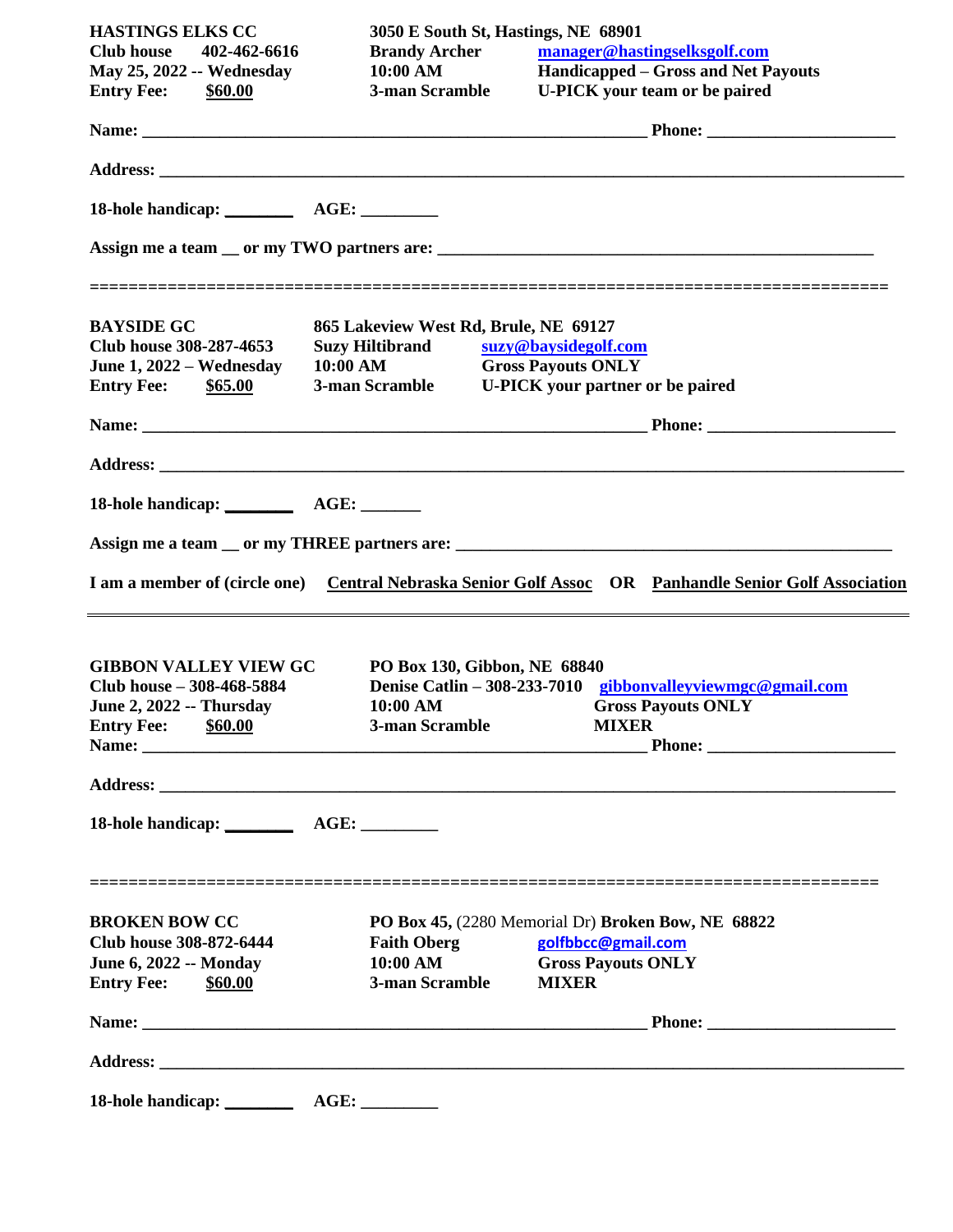| <b>HASTINGS ELKS CC</b><br>Club house 402-462-6616<br><b>May 25, 2022 -- Wednesday</b><br><b>Entry Fee:</b> \$60.00          | 3050 E South St, Hastings, NE 68901<br><b>Brandy Archer</b><br>$10:00 \text{ AM}$ | manager@hastingselksgolf.com<br>Handicapped – Gross and Net Payouts<br>3-man Scramble U-PICK your team or be paired   |
|------------------------------------------------------------------------------------------------------------------------------|-----------------------------------------------------------------------------------|-----------------------------------------------------------------------------------------------------------------------|
|                                                                                                                              |                                                                                   |                                                                                                                       |
|                                                                                                                              |                                                                                   |                                                                                                                       |
|                                                                                                                              |                                                                                   |                                                                                                                       |
|                                                                                                                              |                                                                                   |                                                                                                                       |
| <b>BAYSIDE GC</b><br>Club house 308-287-4653<br>June 1, 2022 – Wednesday<br><b>Entry Fee:</b> \$65.00                        | 865 Lakeview West Rd, Brule, NE 69127<br><b>Suzy Hiltibrand</b><br>10:00 AM       | suzy@baysidegolf.com<br><b>Gross Payouts ONLY</b><br>3-man Scramble U-PICK your partner or be paired                  |
|                                                                                                                              |                                                                                   |                                                                                                                       |
|                                                                                                                              |                                                                                   |                                                                                                                       |
|                                                                                                                              |                                                                                   |                                                                                                                       |
|                                                                                                                              |                                                                                   | I am a member of (circle one) Central Nebraska Senior Golf Assoc OR Panhandle Senior Golf Association                 |
| <b>GIBBON VALLEY VIEW GC</b><br>Club house - 308-468-5884<br><b>June 2, 2022 -- Thursday</b><br><b>Entry Fee:</b><br>\$60.00 | PO Box 130, Gibbon, NE 68840<br>10:00 AM<br>3-man Scramble                        | Denise Catlin - 308-233-7010 gibbonvalleyviewmgc@gmail.com<br><b>Gross Payouts ONLY</b><br><b>MIXER</b>               |
|                                                                                                                              |                                                                                   |                                                                                                                       |
|                                                                                                                              |                                                                                   |                                                                                                                       |
| <b>BROKEN BOW CC</b><br><b>Club house 308-872-6444</b><br><b>June 6, 2022 -- Monday</b><br><b>Entry Fee:</b><br>\$60.00      | <b>Faith Oberg</b><br>10:00 AM<br>3-man Scramble                                  | PO Box 45, (2280 Memorial Dr) Broken Bow, NE 68822<br>golfbbcc@gmail.com<br><b>Gross Payouts ONLY</b><br><b>MIXER</b> |
|                                                                                                                              |                                                                                   |                                                                                                                       |
|                                                                                                                              |                                                                                   |                                                                                                                       |
| 18-hole handicap: ________                                                                                                   | AGE:                                                                              |                                                                                                                       |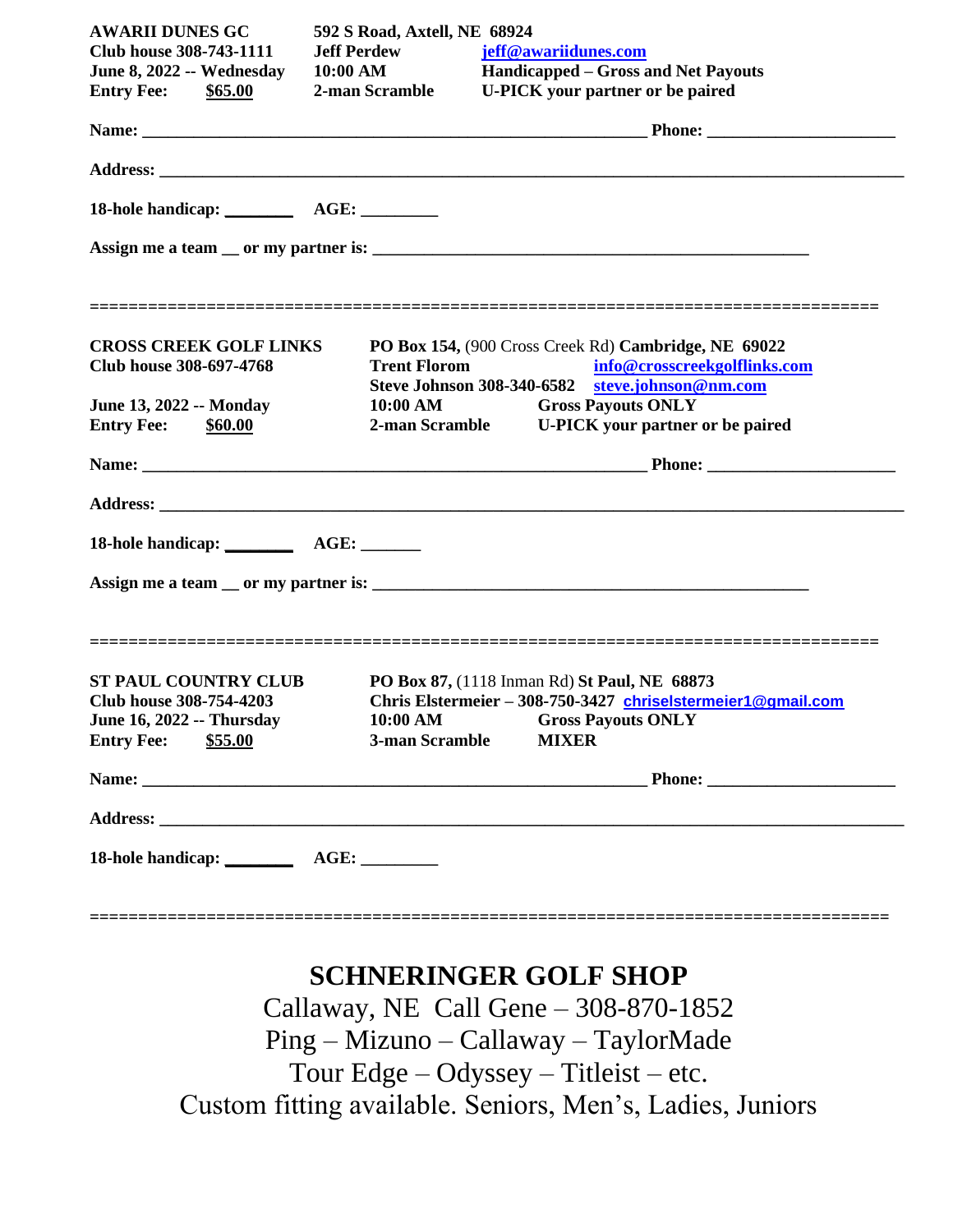| <b>AWARII DUNES GC</b>                                          | 592 S Road, Axtell, NE 68924                                                                                                                                   |  |  |
|-----------------------------------------------------------------|----------------------------------------------------------------------------------------------------------------------------------------------------------------|--|--|
| Club house 308-743-1111                                         | <b>Jeff Perdew</b><br>jeff@awariidunes.com                                                                                                                     |  |  |
| June 8, 2022 -- Wednesday                                       | 10:00 AM<br>Handicapped – Gross and Net Payouts                                                                                                                |  |  |
| <b>Entry Fee:</b> \$65.00                                       | 2-man Scramble<br><b>U-PICK</b> your partner or be paired                                                                                                      |  |  |
|                                                                 |                                                                                                                                                                |  |  |
|                                                                 |                                                                                                                                                                |  |  |
|                                                                 |                                                                                                                                                                |  |  |
|                                                                 |                                                                                                                                                                |  |  |
| <b>CROSS CREEK GOLF LINKS</b><br><b>Club house 308-697-4768</b> | PO Box 154, (900 Cross Creek Rd) Cambridge, NE 69022<br>info@crosscreekgolflinks.com<br><b>Trent Florom</b><br>Steve Johnson 308-340-6582 steve.johnson@nm.com |  |  |
| June 13, 2022 -- Monday                                         | 10:00 AM Gross Payouts ONLY                                                                                                                                    |  |  |
| <b>Entry Fee:</b><br>\$60.00                                    | 2-man Scramble U-PICK your partner or be paired                                                                                                                |  |  |
|                                                                 |                                                                                                                                                                |  |  |
|                                                                 |                                                                                                                                                                |  |  |
|                                                                 |                                                                                                                                                                |  |  |
|                                                                 |                                                                                                                                                                |  |  |
|                                                                 |                                                                                                                                                                |  |  |
|                                                                 |                                                                                                                                                                |  |  |
| <b>ST PAUL COUNTRY CLUB</b>                                     | PO Box 87, (1118 Inman Rd) St Paul, NE 68873                                                                                                                   |  |  |
| Club house 308-754-4203                                         | Chris Elstermeier - 308-750-3427 chriselstermeier1@qmail.com                                                                                                   |  |  |
| <b>June 16, 2022 -- Thursday</b>                                | 10:00 AM<br><b>Gross Payouts ONLY</b>                                                                                                                          |  |  |
| <b>Entry Fee:</b><br>\$55.00                                    | 3-man Scramble<br><b>MIXER</b>                                                                                                                                 |  |  |
|                                                                 |                                                                                                                                                                |  |  |
|                                                                 |                                                                                                                                                                |  |  |
|                                                                 |                                                                                                                                                                |  |  |

## **SCHNERINGER GOLF SHOP**

**==================================================================================**

Callaway, NE Call Gene – 308-870-1852 Ping – Mizuno – Callaway – TaylorMade Tour Edge – Odyssey – Titleist – etc. Custom fitting available. Seniors, Men's, Ladies, Juniors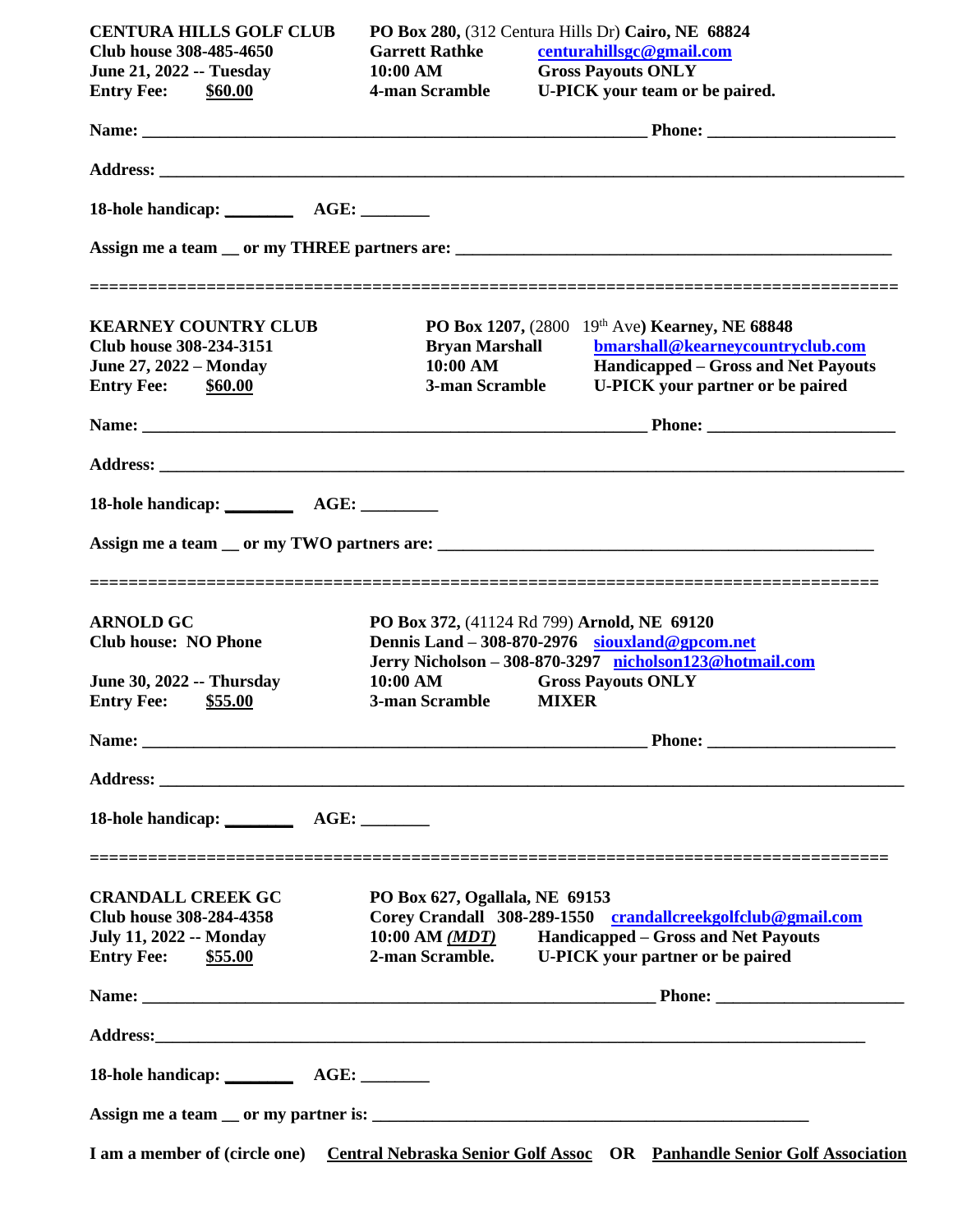| <b>CENTURA HILLS GOLF CLUB</b>   |                                             |              | PO Box 280, (312 Centura Hills Dr) Cairo, NE 68824                                                    |
|----------------------------------|---------------------------------------------|--------------|-------------------------------------------------------------------------------------------------------|
| Club house 308-485-4650          | <b>Garrett Rathke</b>                       |              | centurahillsgc@gmail.com                                                                              |
| <b>June 21, 2022 -- Tuesday</b>  | 10:00 AM                                    |              | <b>Gross Payouts ONLY</b>                                                                             |
| <b>Entry Fee: \$60.00</b>        | 4-man Scramble                              |              | U-PICK your team or be paired.                                                                        |
|                                  |                                             |              |                                                                                                       |
|                                  |                                             |              |                                                                                                       |
|                                  |                                             |              |                                                                                                       |
|                                  |                                             |              |                                                                                                       |
|                                  |                                             |              |                                                                                                       |
| <b>KEARNEY COUNTRY CLUB</b>      |                                             |              | PO Box 1207, (2800 19th Ave) Kearney, NE 68848                                                        |
| Club house 308-234-3151          | <b>Bryan Marshall</b>                       |              | bmarshall@kearneycountryclub.com                                                                      |
| <b>June 27, 2022 - Monday</b>    | $10:00$ AM                                  |              | <b>Handicapped – Gross and Net Payouts</b>                                                            |
| <b>Entry Fee: \$60.00</b>        | 3-man Scramble                              |              | <b>U-PICK</b> your partner or be paired                                                               |
|                                  |                                             |              |                                                                                                       |
|                                  |                                             |              |                                                                                                       |
|                                  |                                             |              |                                                                                                       |
|                                  |                                             |              |                                                                                                       |
|                                  |                                             |              |                                                                                                       |
| <b>ARNOLD GC</b>                 | PO Box 372, (41124 Rd 799) Arnold, NE 69120 |              |                                                                                                       |
| <b>Club house: NO Phone</b>      |                                             |              | Dennis Land $-308-870-2976$ siouxland@gpcom.net                                                       |
|                                  |                                             |              | Jerry Nicholson - 308-870-3297 nicholson123@hotmail.com                                               |
| <b>June 30, 2022 -- Thursday</b> | $10:00 \text{ AM}$                          |              | <b>Gross Payouts ONLY</b>                                                                             |
| <b>Entry Fee:</b> \$55.00        | 3-man Scramble                              | <b>MIXER</b> |                                                                                                       |
|                                  |                                             |              |                                                                                                       |
|                                  |                                             |              |                                                                                                       |
| 18-hole handicap: AGE:           |                                             |              |                                                                                                       |
|                                  |                                             |              |                                                                                                       |
| <b>CRANDALL CREEK GC</b>         | PO Box 627, Ogallala, NE 69153              |              |                                                                                                       |
| <b>Club house 308-284-4358</b>   |                                             |              | Corey Crandall 308-289-1550 crandallcreekgolfclub@gmail.com                                           |
| <b>July 11, 2022 -- Monday</b>   |                                             |              | 10:00 AM (MDT) Handicapped - Gross and Net Payouts                                                    |
| <b>Entry Fee: \$55.00</b>        |                                             |              | 2-man Scramble. U-PICK your partner or be paired                                                      |
|                                  |                                             |              |                                                                                                       |
|                                  |                                             |              |                                                                                                       |
|                                  |                                             |              |                                                                                                       |
|                                  |                                             |              |                                                                                                       |
|                                  |                                             |              | I am a member of (circle one) Central Nebraska Senior Golf Assoc OR Panhandle Senior Golf Association |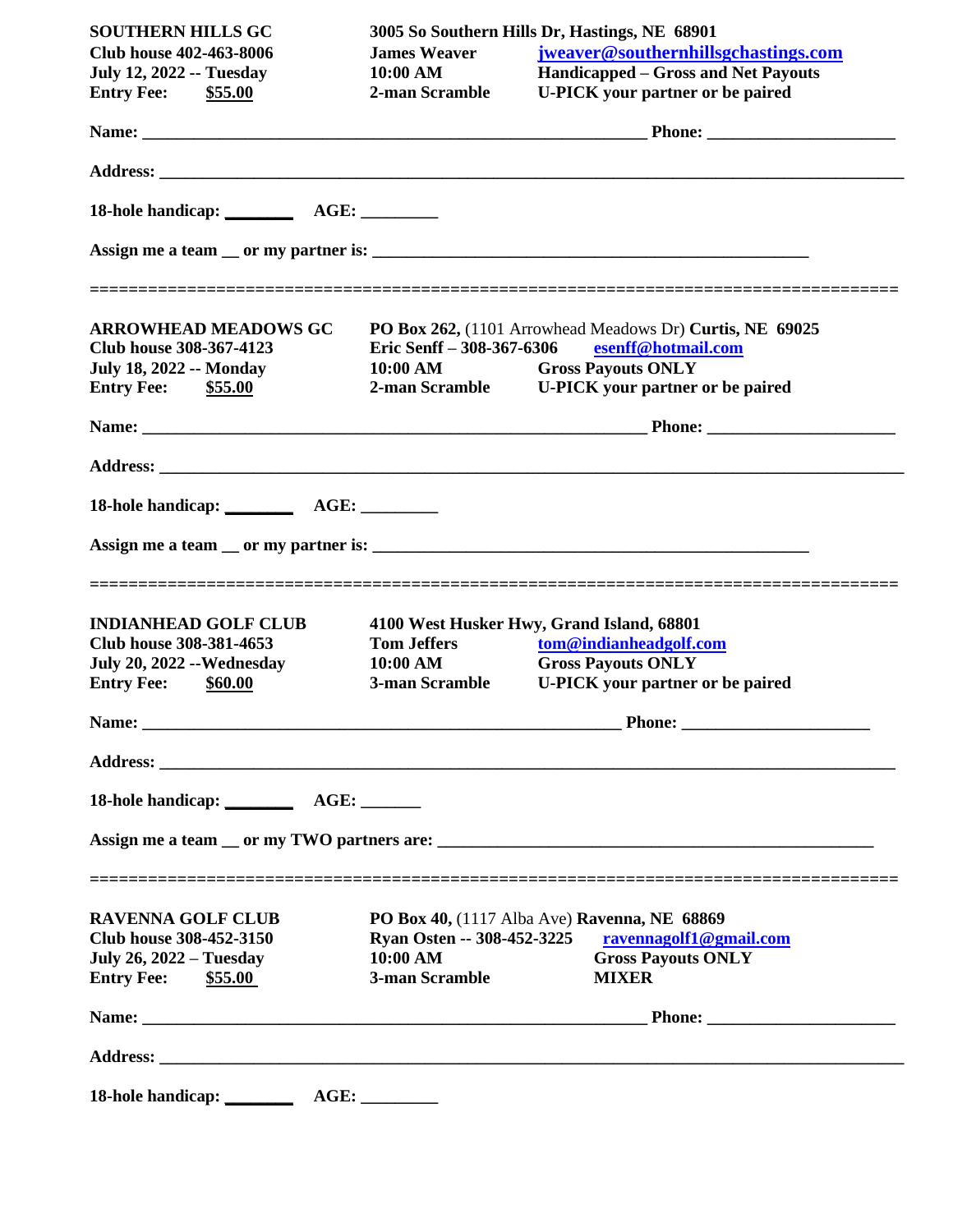| <b>SOUTHERN HILLS GC</b>          |                     | 3005 So Southern Hills Dr, Hastings, NE 68901                                                      |
|-----------------------------------|---------------------|----------------------------------------------------------------------------------------------------|
| <b>Club house 402-463-8006</b>    | <b>James Weaver</b> | jweaver@southernhillsgchastings.com                                                                |
| <b>July 12, 2022 -- Tuesday</b>   | 10:00 AM            | <b>Handicapped – Gross and Net Payouts</b>                                                         |
| <b>Entry Fee:</b> \$55.00         | 2-man Scramble      | <b>U-PICK</b> your partner or be paired                                                            |
|                                   |                     |                                                                                                    |
|                                   |                     |                                                                                                    |
|                                   |                     |                                                                                                    |
|                                   |                     |                                                                                                    |
| <b>ARROWHEAD MEADOWS GC</b>       |                     | ______________________________________<br>PO Box 262, (1101 Arrowhead Meadows Dr) Curtis, NE 69025 |
| Club house 308-367-4123           |                     | Eric Senff - 308-367-6306 esenff@hotmail.com                                                       |
| <b>July 18, 2022 -- Monday</b>    | 10:00 AM            | <b>Gross Payouts ONLY</b>                                                                          |
| <b>Entry Fee:</b> \$55.00         |                     | 2-man Scramble U-PICK your partner or be paired                                                    |
|                                   |                     |                                                                                                    |
|                                   |                     |                                                                                                    |
| 18-hole handicap: AGE: _________  |                     |                                                                                                    |
|                                   |                     |                                                                                                    |
| <b>INDIANHEAD GOLF CLUB</b>       |                     | 4100 West Husker Hwy, Grand Island, 68801                                                          |
| Club house 308-381-4653           | <b>Tom Jeffers</b>  | tom@indianheadgolf.com                                                                             |
| <b>July 20, 2022 -- Wednesday</b> | 10:00 AM            | <b>Gross Payouts ONLY</b>                                                                          |
| Entry Fee: \$60.00                | 3-man Scramble      | <b>U-PICK</b> your partner or be paired                                                            |
|                                   |                     |                                                                                                    |
|                                   |                     |                                                                                                    |
|                                   |                     |                                                                                                    |
|                                   |                     |                                                                                                    |
| <b>RAVENNA GOLF CLUB</b>          |                     | PO Box 40, (1117 Alba Ave) Ravenna, NE 68869                                                       |
| Club house 308-452-3150           |                     | Ryan Osten -- 308-452-3225 ravennagolf1@gmail.com                                                  |
| <b>July 26, 2022 – Tuesday</b>    | 10:00 AM            | <b>Gross Payouts ONLY</b>                                                                          |
| <b>Entry Fee:</b><br>\$55.00      | 3-man Scramble      | <b>MIXER</b>                                                                                       |
|                                   |                     |                                                                                                    |
|                                   |                     |                                                                                                    |
| 18-hole handicap: AGE: AGE:       |                     |                                                                                                    |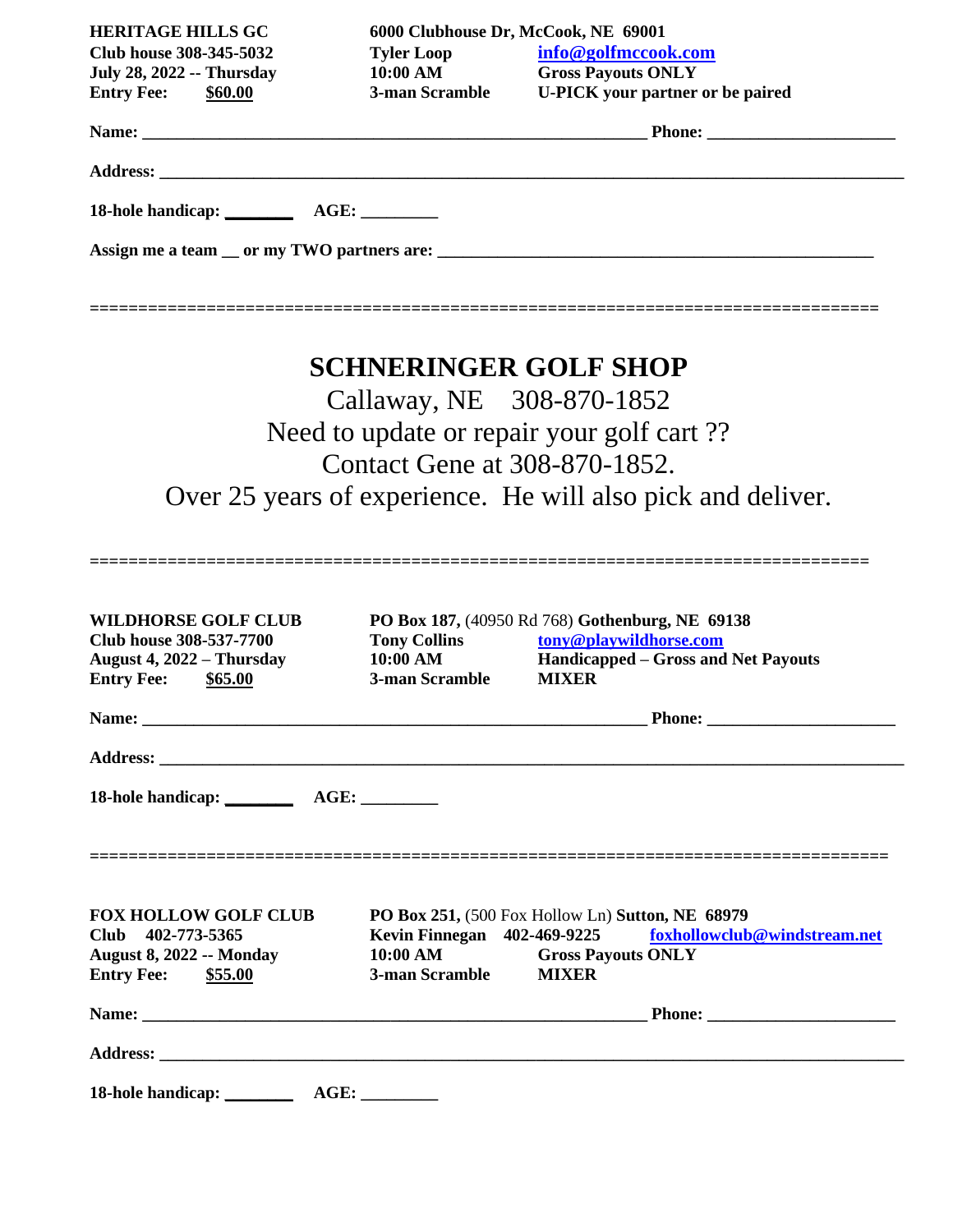| <b>HERITAGE HILLS GC</b>                                  | 6000 Clubhouse Dr, McCook, NE 69001 |                                                             |
|-----------------------------------------------------------|-------------------------------------|-------------------------------------------------------------|
| Club house 308-345-5032                                   |                                     | info@golfmccook.com                                         |
| <b>July 28, 2022 -- Thursday</b>                          |                                     | Tyler Loop<br>10:00 AM<br>Gross Payouts ONLY                |
| <b>Entry Fee:</b> \$60.00                                 |                                     | 3-man Scramble U-PICK your partner or be paired             |
|                                                           |                                     |                                                             |
|                                                           |                                     |                                                             |
|                                                           |                                     |                                                             |
|                                                           |                                     |                                                             |
|                                                           |                                     |                                                             |
| ===================================                       |                                     |                                                             |
|                                                           |                                     |                                                             |
|                                                           | <b>SCHNERINGER GOLF SHOP</b>        |                                                             |
|                                                           | Callaway, NE 308-870-1852           |                                                             |
|                                                           |                                     | Need to update or repair your golf cart ??                  |
|                                                           |                                     |                                                             |
|                                                           | Contact Gene at 308-870-1852.       |                                                             |
|                                                           |                                     | Over 25 years of experience. He will also pick and deliver. |
|                                                           |                                     |                                                             |
|                                                           |                                     |                                                             |
| <b>WILDHORSE GOLF CLUB</b>                                |                                     | PO Box 187, (40950 Rd 768) Gothenburg, NE 69138             |
| Club house 308-537-7700                                   | <b>Tony Collins</b>                 | tony@playwildhorse.com                                      |
| August 4, 2022 - Thursday<br><b>Entry Fee:</b><br>\$65.00 | 10:00 AM<br>3-man Scramble          | Handicapped – Gross and Net Payouts<br><b>MIXER</b>         |
|                                                           |                                     |                                                             |
|                                                           |                                     |                                                             |
|                                                           |                                     |                                                             |
|                                                           |                                     |                                                             |
|                                                           |                                     |                                                             |
|                                                           |                                     |                                                             |
|                                                           |                                     |                                                             |

| <b>FOX HOLLOW GOLF CLUB</b>     | PO Box 251, (500 Fox Hollow Ln) Sutton, NE 68979 |                           |                                                          |
|---------------------------------|--------------------------------------------------|---------------------------|----------------------------------------------------------|
| Club 402-773-5365               |                                                  |                           | Kevin Finnegan 402-469-9225 foxhollowclub@windstream.net |
| <b>August 8, 2022 -- Monday</b> | 10:00 AM                                         | <b>Gross Payouts ONLY</b> |                                                          |
| \$55.00<br><b>Entry Fee:</b>    | 3-man Scramble                                   | <b>MIXER</b>              |                                                          |
|                                 |                                                  |                           |                                                          |
|                                 |                                                  |                           |                                                          |
|                                 |                                                  |                           |                                                          |
|                                 |                                                  |                           |                                                          |
|                                 |                                                  |                           |                                                          |
| 18-hole handicap: ________      |                                                  |                           |                                                          |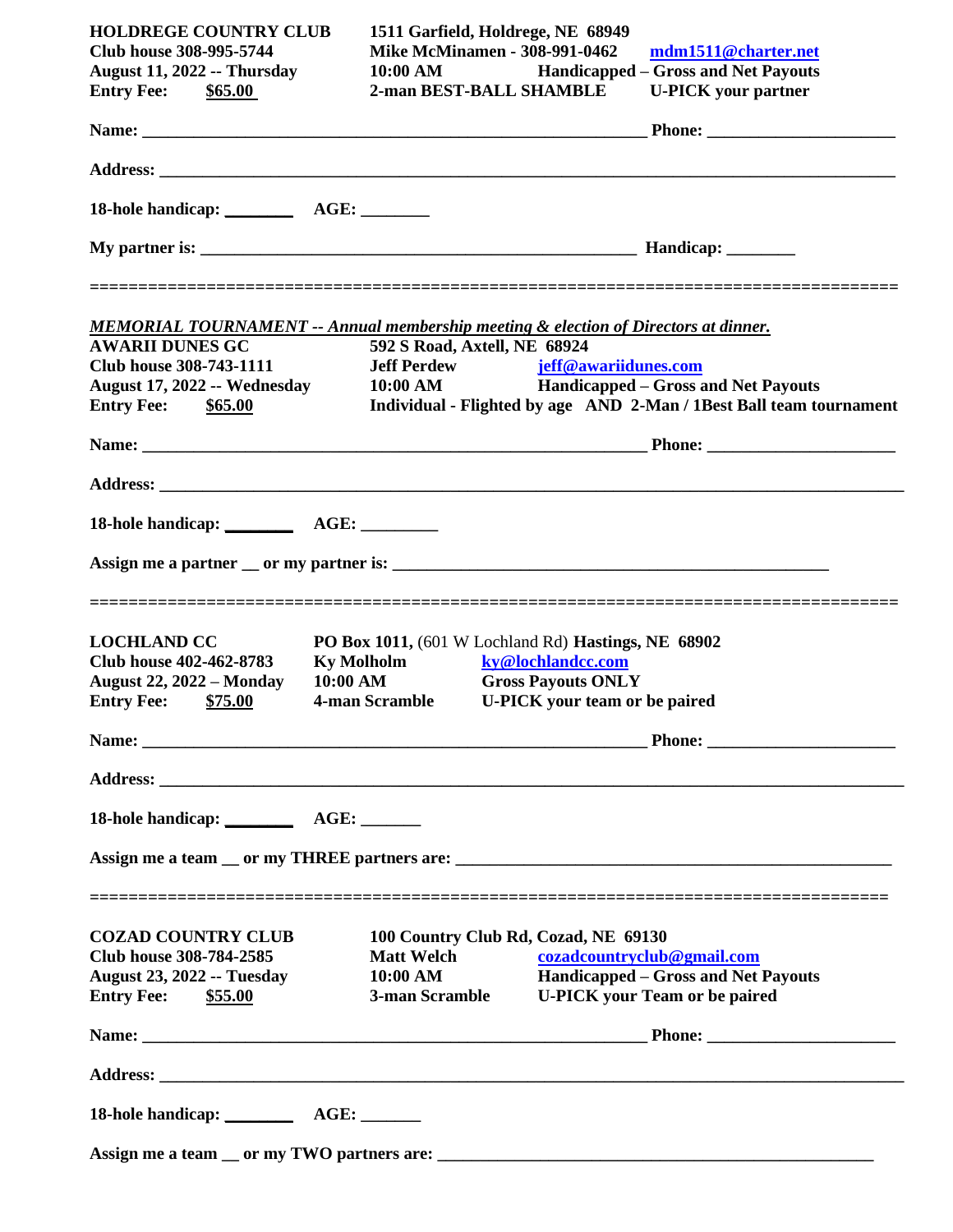| <b>HOLDREGE COUNTRY CLUB</b><br><b>Club house 308-995-5744</b><br><b>August 11, 2022 -- Thursday</b><br><b>Entry Fee: \$65.00</b> | 1511 Garfield, Holdrege, NE 68949<br><b>Mike McMinamen - 308-991-0462</b><br>10:00 AM<br>2-man BEST-BALL SHAMBLE                     |                                                | mdm1511@charter.net<br>Handicapped – Gross and Net Payouts<br><b>U-PICK</b> your partner |
|-----------------------------------------------------------------------------------------------------------------------------------|--------------------------------------------------------------------------------------------------------------------------------------|------------------------------------------------|------------------------------------------------------------------------------------------|
|                                                                                                                                   |                                                                                                                                      |                                                |                                                                                          |
|                                                                                                                                   |                                                                                                                                      |                                                |                                                                                          |
| 18-hole handicap: ___________ AGE: ________                                                                                       |                                                                                                                                      |                                                |                                                                                          |
|                                                                                                                                   |                                                                                                                                      |                                                |                                                                                          |
|                                                                                                                                   |                                                                                                                                      |                                                |                                                                                          |
| <b>MEMORIAL TOURNAMENT -- Annual membership meeting &amp; election of Directors at dinner.</b><br><b>AWARII DUNES GC</b>          | 592 S Road, Axtell, NE 68924                                                                                                         |                                                |                                                                                          |
| Club house 308-743-1111                                                                                                           |                                                                                                                                      | <b>Jeff Perdew</b> jeff@awariidunes.com        |                                                                                          |
| August 17, 2022 -- Wednesday                                                                                                      |                                                                                                                                      |                                                | 10:00 AM Handicapped – Gross and Net Payouts                                             |
| <b>Entry Fee: \$65.00</b>                                                                                                         |                                                                                                                                      |                                                | Individual - Flighted by age AND 2-Man / 1Best Ball team tournament                      |
|                                                                                                                                   |                                                                                                                                      |                                                |                                                                                          |
|                                                                                                                                   |                                                                                                                                      |                                                |                                                                                          |
|                                                                                                                                   |                                                                                                                                      |                                                |                                                                                          |
|                                                                                                                                   |                                                                                                                                      |                                                |                                                                                          |
| <b>LOCHLAND CC</b><br>Club house 402-462-8783<br><b>August 22, 2022 – Monday</b><br><b>Entry Fee: \$75.00</b>                     | PO Box 1011, (601 W Lochland Rd) Hastings, NE 68902<br><b>Ky Molholm</b><br>10:00 AM<br>4-man Scramble U-PICK your team or be paired | ky@lochlandcc.com<br><b>Gross Payouts ONLY</b> |                                                                                          |
|                                                                                                                                   |                                                                                                                                      |                                                |                                                                                          |
|                                                                                                                                   |                                                                                                                                      |                                                |                                                                                          |
|                                                                                                                                   |                                                                                                                                      |                                                |                                                                                          |
|                                                                                                                                   |                                                                                                                                      |                                                |                                                                                          |
|                                                                                                                                   |                                                                                                                                      |                                                |                                                                                          |
| <b>COZAD COUNTRY CLUB</b>                                                                                                         |                                                                                                                                      | 100 Country Club Rd, Cozad, NE 69130           |                                                                                          |
| Club house 308-784-2585                                                                                                           | <b>Matt Welch</b>                                                                                                                    |                                                | cozadcountryclub@gmail.com                                                               |
| <b>August 23, 2022 -- Tuesday</b><br><b>Entry Fee:</b><br>\$55.00                                                                 | 10:00 AM<br>3-man Scramble                                                                                                           |                                                | Handicapped – Gross and Net Payouts<br><b>U-PICK</b> your Team or be paired              |
|                                                                                                                                   |                                                                                                                                      |                                                |                                                                                          |
|                                                                                                                                   |                                                                                                                                      |                                                |                                                                                          |
|                                                                                                                                   |                                                                                                                                      |                                                |                                                                                          |
|                                                                                                                                   |                                                                                                                                      |                                                |                                                                                          |
|                                                                                                                                   |                                                                                                                                      |                                                |                                                                                          |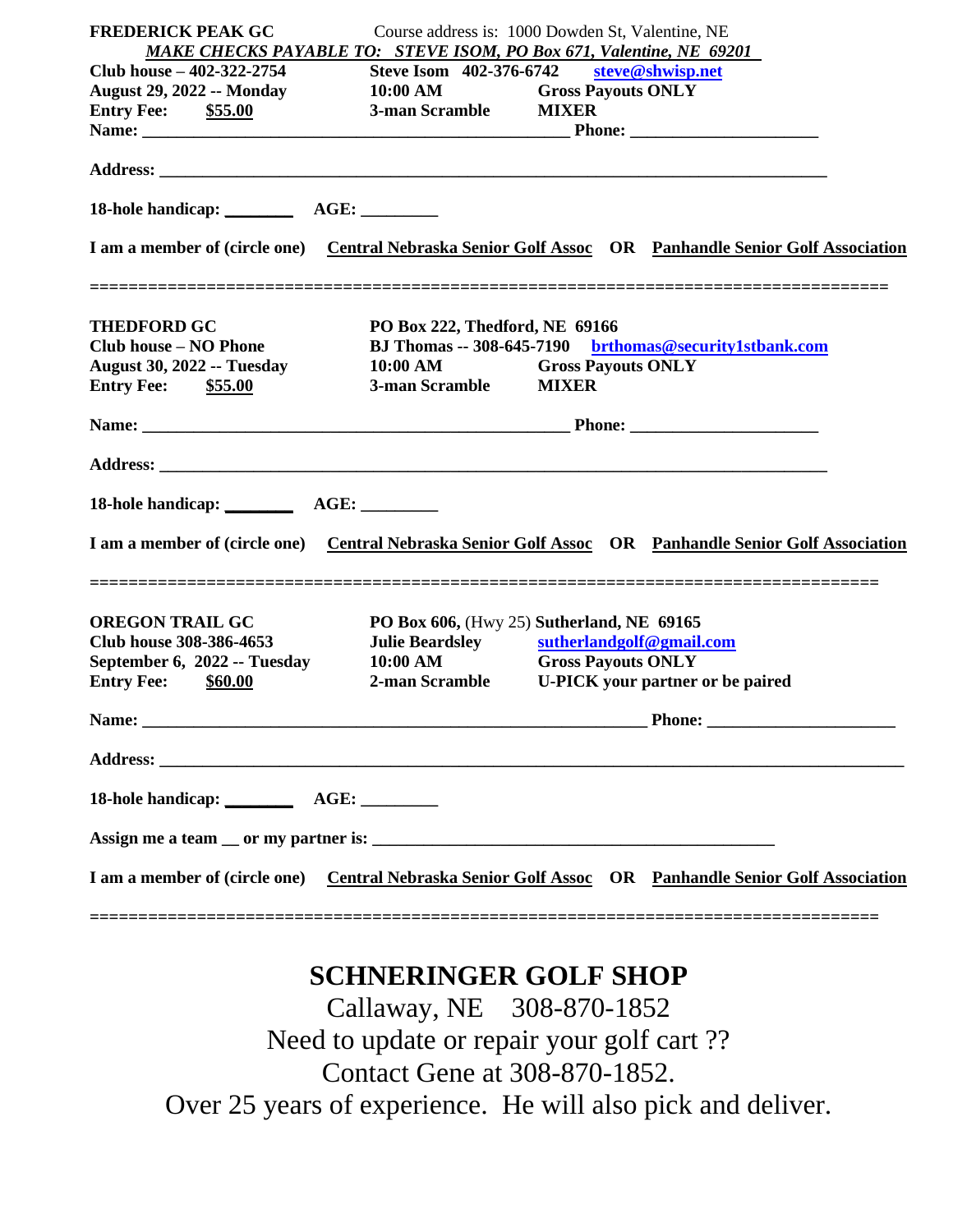| <b>FREDERICK PEAK GC</b>                                                                                       | Course address is: 1000 Dowden St, Valentine, NE                                                                                                                                                        |  |
|----------------------------------------------------------------------------------------------------------------|---------------------------------------------------------------------------------------------------------------------------------------------------------------------------------------------------------|--|
|                                                                                                                | MAKE CHECKS PAYABLE TO: STEVE ISOM, PO Box 671, Valentine, NE 69201                                                                                                                                     |  |
| Club house – 402-322-2754                                                                                      | Steve Isom 402-376-6742 steve@shwisp.net<br>August 29, 2022 -- Monday 10:00 AM Gross Payouts ONLY                                                                                                       |  |
| <b>Entry Fee:</b> \$55.00                                                                                      | 3-man Scramble MIXER                                                                                                                                                                                    |  |
|                                                                                                                |                                                                                                                                                                                                         |  |
|                                                                                                                |                                                                                                                                                                                                         |  |
|                                                                                                                |                                                                                                                                                                                                         |  |
|                                                                                                                |                                                                                                                                                                                                         |  |
|                                                                                                                | I am a member of (circle one) Central Nebraska Senior Golf Assoc OR Panhandle Senior Golf Association                                                                                                   |  |
| <b>THEDFORD GC</b>                                                                                             | PO Box 222, Thedford, NE 69166                                                                                                                                                                          |  |
| <b>Club house - NO Phone</b>                                                                                   | BJ Thomas -- 308-645-7190 brthomas@security1stbank.com                                                                                                                                                  |  |
| <b>August 30, 2022 -- Tuesday</b>                                                                              | 10:00 AM Gross Payouts ONLY                                                                                                                                                                             |  |
| <b>Entry Fee:</b> \$55.00                                                                                      | 3-man Scramble MIXER                                                                                                                                                                                    |  |
|                                                                                                                |                                                                                                                                                                                                         |  |
|                                                                                                                |                                                                                                                                                                                                         |  |
|                                                                                                                |                                                                                                                                                                                                         |  |
|                                                                                                                | I am a member of (circle one) Central Nebraska Senior Golf Assoc OR Panhandle Senior Golf Association                                                                                                   |  |
| <b>OREGON TRAIL GC</b><br>Club house 308-386-4653<br>September 6, 2022 -- Tuesday<br><b>Entry Fee:</b> \$60.00 | PO Box 606, (Hwy 25) Sutherland, NE 69165<br><b>Julie Beardsley</b><br>sutherlandgolf@gmail.com<br><b>Gross Payouts ONLY</b><br>$10:00$ AM<br>2-man Scramble<br><b>U-PICK</b> your partner or be paired |  |
| Name:                                                                                                          |                                                                                                                                                                                                         |  |
|                                                                                                                |                                                                                                                                                                                                         |  |
|                                                                                                                |                                                                                                                                                                                                         |  |
|                                                                                                                |                                                                                                                                                                                                         |  |
|                                                                                                                |                                                                                                                                                                                                         |  |
|                                                                                                                | I am a member of (circle one) Central Nebraska Senior Golf Assoc OR Panhandle Senior Golf Association                                                                                                   |  |
|                                                                                                                |                                                                                                                                                                                                         |  |

## **SCHNERINGER GOLF SHOP**

Callaway, NE 308-870-1852 Need to update or repair your golf cart ?? Contact Gene at 308-870-1852. Over 25 years of experience. He will also pick and deliver.